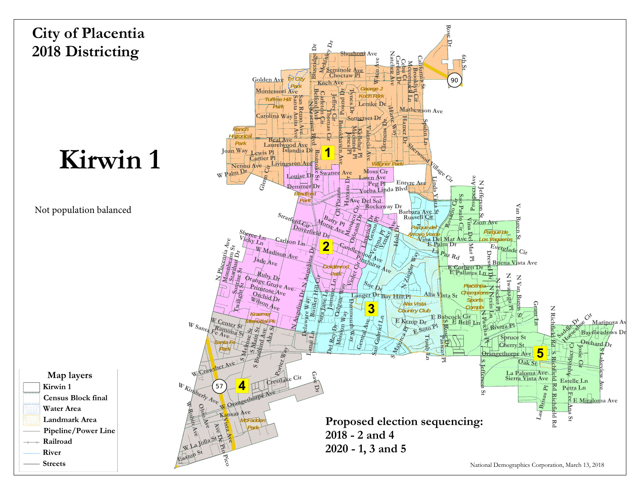